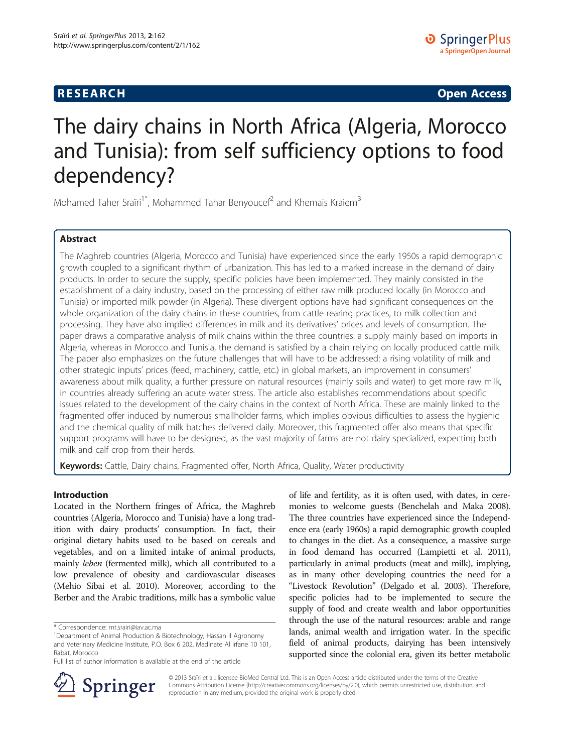# **RESEARCH CHINESE ARCH CHINESE ARCH CHINESE ARCH <b>CHINESE ARCH**

# The dairy chains in North Africa (Algeria, Morocco and Tunisia): from self sufficiency options to food dependency?

Mohamed Taher Sraïri<sup>1\*</sup>, Mohammed Tahar Benyoucef<sup>2</sup> and Khemais Kraiem<sup>3</sup>

# Abstract

The Maghreb countries (Algeria, Morocco and Tunisia) have experienced since the early 1950s a rapid demographic growth coupled to a significant rhythm of urbanization. This has led to a marked increase in the demand of dairy products. In order to secure the supply, specific policies have been implemented. They mainly consisted in the establishment of a dairy industry, based on the processing of either raw milk produced locally (in Morocco and Tunisia) or imported milk powder (in Algeria). These divergent options have had significant consequences on the whole organization of the dairy chains in these countries, from cattle rearing practices, to milk collection and processing. They have also implied differences in milk and its derivatives' prices and levels of consumption. The paper draws a comparative analysis of milk chains within the three countries: a supply mainly based on imports in Algeria, whereas in Morocco and Tunisia, the demand is satisfied by a chain relying on locally produced cattle milk. The paper also emphasizes on the future challenges that will have to be addressed: a rising volatility of milk and other strategic inputs' prices (feed, machinery, cattle, etc.) in global markets, an improvement in consumers' awareness about milk quality, a further pressure on natural resources (mainly soils and water) to get more raw milk, in countries already suffering an acute water stress. The article also establishes recommendations about specific issues related to the development of the dairy chains in the context of North Africa. These are mainly linked to the fragmented offer induced by numerous smallholder farms, which implies obvious difficulties to assess the hygienic and the chemical quality of milk batches delivered daily. Moreover, this fragmented offer also means that specific support programs will have to be designed, as the vast majority of farms are not dairy specialized, expecting both milk and calf crop from their herds.

Keywords: Cattle, Dairy chains, Fragmented offer, North Africa, Quality, Water productivity

# Introduction

Located in the Northern fringes of Africa, the Maghreb countries (Algeria, Morocco and Tunisia) have a long tradition with dairy products' consumption. In fact, their original dietary habits used to be based on cereals and vegetables, and on a limited intake of animal products, mainly *leben* (fermented milk), which all contributed to a low prevalence of obesity and cardiovascular diseases (Mehio Sibai et al. [2010\)](#page-11-0). Moreover, according to the Berber and the Arabic traditions, milk has a symbolic value

\* Correspondence: [mt.srairi@iav.ac.ma](mailto:mt.srairi@iav.ac.ma) <sup>1</sup>

of life and fertility, as it is often used, with dates, in ceremonies to welcome guests (Benchelah and Maka [2008](#page-11-0)). The three countries have experienced since the Independence era (early 1960s) a rapid demographic growth coupled to changes in the diet. As a consequence, a massive surge in food demand has occurred (Lampietti et al. [2011](#page-11-0)), particularly in animal products (meat and milk), implying, as in many other developing countries the need for a "Livestock Revolution" (Delgado et al. [2003\)](#page-11-0). Therefore, specific policies had to be implemented to secure the supply of food and create wealth and labor opportunities through the use of the natural resources: arable and range lands, animal wealth and irrigation water. In the specific field of animal products, dairying has been intensively supported since the colonial era, given its better metabolic



© 2013 Sraïri et al.; licensee BioMed Central Ltd. This is an Open Access article distributed under the terms of the Creative Commons Attribution License (<http://creativecommons.org/licenses/by/2.0>), which permits unrestricted use, distribution, and reproduction in any medium, provided the original work is properly cited.

<sup>&</sup>lt;sup>1</sup>Department of Animal Production & Biotechnology, Hassan II Agronomy and Veterinary Medicine Institute, P.O. Box 6 202, Madinate Al Irfane 10 101, Rabat, Morocco

Full list of author information is available at the end of the article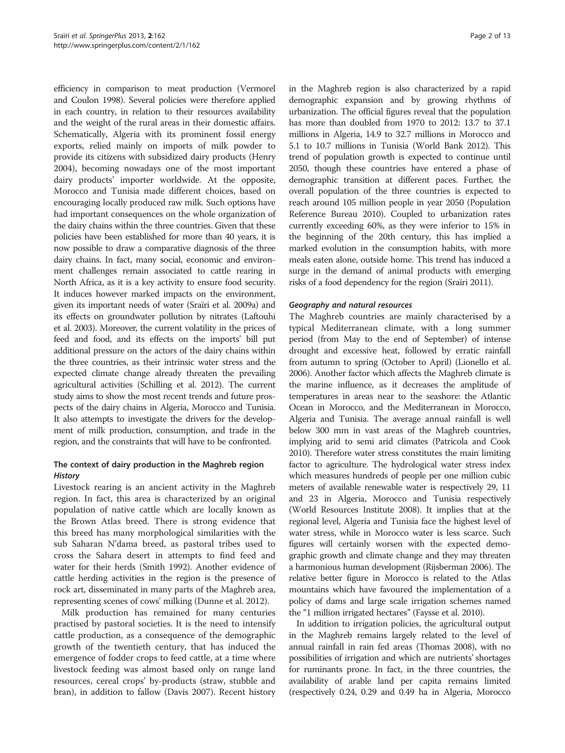efficiency in comparison to meat production (Vermorel and Coulon [1998\)](#page-12-0). Several policies were therefore applied in each country, in relation to their resources availability and the weight of the rural areas in their domestic affairs. Schematically, Algeria with its prominent fossil energy exports, relied mainly on imports of milk powder to provide its citizens with subsidized dairy products (Henry [2004\)](#page-11-0), becoming nowadays one of the most important dairy products' importer worldwide. At the opposite, Morocco and Tunisia made different choices, based on encouraging locally produced raw milk. Such options have had important consequences on the whole organization of the dairy chains within the three countries. Given that these policies have been established for more than 40 years, it is now possible to draw a comparative diagnosis of the three dairy chains. In fact, many social, economic and environment challenges remain associated to cattle rearing in North Africa, as it is a key activity to ensure food security. It induces however marked impacts on the environment, given its important needs of water (Sraïri et al. [2009a\)](#page-12-0) and its effects on groundwater pollution by nitrates (Laftouhi et al. [2003](#page-11-0)). Moreover, the current volatility in the prices of feed and food, and its effects on the imports' bill put additional pressure on the actors of the dairy chains within the three countries, as their intrinsic water stress and the expected climate change already threaten the prevailing agricultural activities (Schilling et al. [2012\)](#page-11-0). The current study aims to show the most recent trends and future prospects of the dairy chains in Algeria, Morocco and Tunisia. It also attempts to investigate the drivers for the development of milk production, consumption, and trade in the region, and the constraints that will have to be confronted.

# The context of dairy production in the Maghreb region **History**

Livestock rearing is an ancient activity in the Maghreb region. In fact, this area is characterized by an original population of native cattle which are locally known as the Brown Atlas breed. There is strong evidence that this breed has many morphological similarities with the sub Saharan N'dama breed, as pastoral tribes used to cross the Sahara desert in attempts to find feed and water for their herds (Smith [1992](#page-12-0)). Another evidence of cattle herding activities in the region is the presence of rock art, disseminated in many parts of the Maghreb area, representing scenes of cows' milking (Dunne et al. [2012\)](#page-11-0).

Milk production has remained for many centuries practised by pastoral societies. It is the need to intensify cattle production, as a consequence of the demographic growth of the twentieth century, that has induced the emergence of fodder crops to feed cattle, at a time where livestock feeding was almost based only on range land resources, cereal crops' by-products (straw, stubble and bran), in addition to fallow (Davis [2007\)](#page-11-0). Recent history in the Maghreb region is also characterized by a rapid demographic expansion and by growing rhythms of urbanization. The official figures reveal that the population has more than doubled from 1970 to 2012: 13.7 to 37.1 millions in Algeria, 14.9 to 32.7 millions in Morocco and 5.1 to 10.7 millions in Tunisia (World Bank [2012\)](#page-12-0). This trend of population growth is expected to continue until 2050, though these countries have entered a phase of demographic transition at different paces. Further, the overall population of the three countries is expected to reach around 105 million people in year 2050 (Population Reference Bureau [2010](#page-11-0)). Coupled to urbanization rates currently exceeding 60%, as they were inferior to 15% in the beginning of the 20th century, this has implied a marked evolution in the consumption habits, with more meals eaten alone, outside home. This trend has induced a surge in the demand of animal products with emerging risks of a food dependency for the region (Sraïri [2011\)](#page-12-0).

## Geography and natural resources

The Maghreb countries are mainly characterised by a typical Mediterranean climate, with a long summer period (from May to the end of September) of intense drought and excessive heat, followed by erratic rainfall from autumn to spring (October to April) (Lionello et al. [2006\)](#page-11-0). Another factor which affects the Maghreb climate is the marine influence, as it decreases the amplitude of temperatures in areas near to the seashore: the Atlantic Ocean in Morocco, and the Mediterranean in Morocco, Algeria and Tunisia. The average annual rainfall is well below 300 mm in vast areas of the Maghreb countries, implying arid to semi arid climates (Patricola and Cook [2010\)](#page-11-0). Therefore water stress constitutes the main limiting factor to agriculture. The hydrological water stress index which measures hundreds of people per one million cubic meters of available renewable water is respectively 29, 11 and 23 in Algeria, Morocco and Tunisia respectively (World Resources Institute [2008\)](#page-12-0). It implies that at the regional level, Algeria and Tunisia face the highest level of water stress, while in Morocco water is less scarce. Such figures will certainly worsen with the expected demographic growth and climate change and they may threaten a harmonious human development (Rijsberman [2006](#page-11-0)). The relative better figure in Morocco is related to the Atlas mountains which have favoured the implementation of a policy of dams and large scale irrigation schemes named the "1 million irrigated hectares" (Faysse et al. [2010](#page-11-0)).

In addition to irrigation policies, the agricultural output in the Maghreb remains largely related to the level of annual rainfall in rain fed areas (Thomas [2008\)](#page-12-0), with no possibilities of irrigation and which are nutrients' shortages for ruminants prone. In fact, in the three countries, the availability of arable land per capita remains limited (respectively 0.24, 0.29 and 0.49 ha in Algeria, Morocco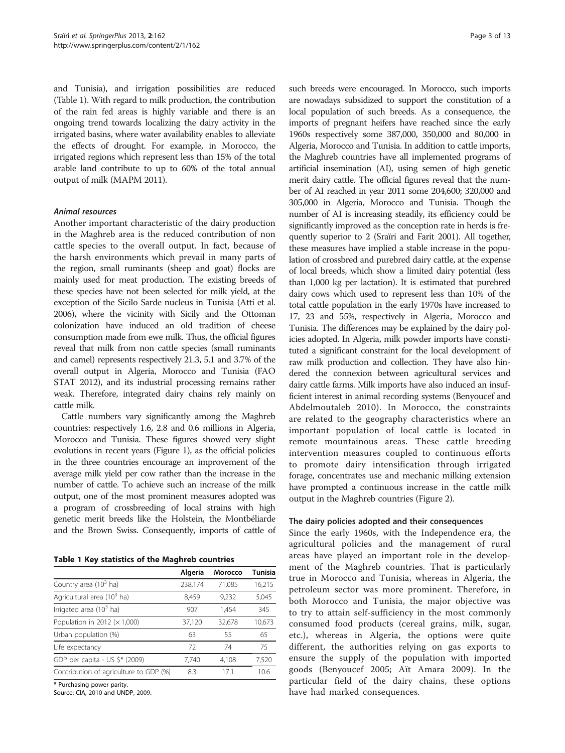and Tunisia), and irrigation possibilities are reduced (Table 1). With regard to milk production, the contribution of the rain fed areas is highly variable and there is an ongoing trend towards localizing the dairy activity in the irrigated basins, where water availability enables to alleviate the effects of drought. For example, in Morocco, the irrigated regions which represent less than 15% of the total arable land contribute to up to 60% of the total annual output of milk (MAPM [2011](#page-11-0)).

#### Animal resources

Another important characteristic of the dairy production in the Maghreb area is the reduced contribution of non cattle species to the overall output. In fact, because of the harsh environments which prevail in many parts of the region, small ruminants (sheep and goat) flocks are mainly used for meat production. The existing breeds of these species have not been selected for milk yield, at the exception of the Sicilo Sarde nucleus in Tunisia (Atti et al. [2006\)](#page-11-0), where the vicinity with Sicily and the Ottoman colonization have induced an old tradition of cheese consumption made from ewe milk. Thus, the official figures reveal that milk from non cattle species (small ruminants and camel) represents respectively 21.3, 5.1 and 3.7% of the overall output in Algeria, Morocco and Tunisia (FAO STAT [2012](#page-11-0)), and its industrial processing remains rather weak. Therefore, integrated dairy chains rely mainly on cattle milk.

Cattle numbers vary significantly among the Maghreb countries: respectively 1.6, 2.8 and 0.6 millions in Algeria, Morocco and Tunisia. These figures showed very slight evolutions in recent years (Figure [1](#page-3-0)), as the official policies in the three countries encourage an improvement of the average milk yield per cow rather than the increase in the number of cattle. To achieve such an increase of the milk output, one of the most prominent measures adopted was a program of crossbreeding of local strains with high genetic merit breeds like the Holstein, the Montbéliarde and the Brown Swiss. Consequently, imports of cattle of

|                                        | Algeria | <b>Morocco</b> | Tunisia |
|----------------------------------------|---------|----------------|---------|
| Country area $(10^3$ ha)               | 238,174 | 71,085         | 16,215  |
| Agricultural area (10 <sup>3</sup> ha) | 8,459   | 9,232          | 5,045   |
| Irrigated area (10 <sup>3</sup> ha)    | 907     | 1,454          | 345     |
| Population in 2012 ( $\times$ 1,000)   | 37,120  | 32,678         | 10,673  |
| Urban population (%)                   | 63      | 55             | 65      |
| Life expectancy                        | 72      | 74             | 75      |
| GDP per capita - US \$* (2009)         | 7,740   | 4,108          | 7,520   |
| Contribution of agriculture to GDP (%) | 8.3     | 17.1           | 10.6    |

\* Purchasing power parity.

Source: CIA, [2010](#page-11-0) and UNDP, [2009](#page-12-0).

such breeds were encouraged. In Morocco, such imports are nowadays subsidized to support the constitution of a local population of such breeds. As a consequence, the imports of pregnant heifers have reached since the early 1960s respectively some 387,000, 350,000 and 80,000 in Algeria, Morocco and Tunisia. In addition to cattle imports, the Maghreb countries have all implemented programs of artificial insemination (AI), using semen of high genetic merit dairy cattle. The official figures reveal that the number of AI reached in year 2011 some 204,600; 320,000 and 305,000 in Algeria, Morocco and Tunisia. Though the number of AI is increasing steadily, its efficiency could be significantly improved as the conception rate in herds is frequently superior to 2 (Sraïri and Farit [2001\)](#page-12-0). All together, these measures have implied a stable increase in the population of crossbred and purebred dairy cattle, at the expense of local breeds, which show a limited dairy potential (less than 1,000 kg per lactation). It is estimated that purebred dairy cows which used to represent less than 10% of the total cattle population in the early 1970s have increased to 17, 23 and 55%, respectively in Algeria, Morocco and Tunisia. The differences may be explained by the dairy policies adopted. In Algeria, milk powder imports have constituted a significant constraint for the local development of raw milk production and collection. They have also hindered the connexion between agricultural services and dairy cattle farms. Milk imports have also induced an insufficient interest in animal recording systems (Benyoucef and Abdelmoutaleb [2010\)](#page-11-0). In Morocco, the constraints are related to the geography characteristics where an important population of local cattle is located in remote mountainous areas. These cattle breeding intervention measures coupled to continuous efforts to promote dairy intensification through irrigated forage, concentrates use and mechanic milking extension have prompted a continuous increase in the cattle milk output in the Maghreb countries (Figure [2](#page-3-0)).

#### The dairy policies adopted and their consequences

Since the early 1960s, with the Independence era, the agricultural policies and the management of rural areas have played an important role in the development of the Maghreb countries. That is particularly true in Morocco and Tunisia, whereas in Algeria, the petroleum sector was more prominent. Therefore, in both Morocco and Tunisia, the major objective was to try to attain self-sufficiency in the most commonly consumed food products (cereal grains, milk, sugar, etc.), whereas in Algeria, the options were quite different, the authorities relying on gas exports to ensure the supply of the population with imported goods (Benyoucef [2005;](#page-11-0) Aït Amara [2009](#page-11-0)). In the particular field of the dairy chains, these options have had marked consequences.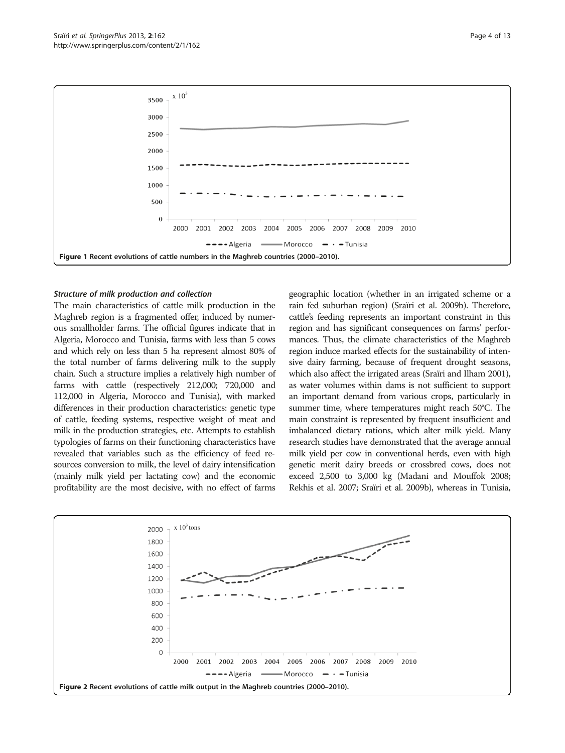<span id="page-3-0"></span>

#### Structure of milk production and collection

The main characteristics of cattle milk production in the Maghreb region is a fragmented offer, induced by numerous smallholder farms. The official figures indicate that in Algeria, Morocco and Tunisia, farms with less than 5 cows and which rely on less than 5 ha represent almost 80% of the total number of farms delivering milk to the supply chain. Such a structure implies a relatively high number of farms with cattle (respectively 212,000; 720,000 and 112,000 in Algeria, Morocco and Tunisia), with marked differences in their production characteristics: genetic type of cattle, feeding systems, respective weight of meat and milk in the production strategies, etc. Attempts to establish typologies of farms on their functioning characteristics have revealed that variables such as the efficiency of feed resources conversion to milk, the level of dairy intensification (mainly milk yield per lactating cow) and the economic profitability are the most decisive, with no effect of farms geographic location (whether in an irrigated scheme or a rain fed suburban region) (Sraïri et al. [2009b\)](#page-12-0). Therefore, cattle's feeding represents an important constraint in this region and has significant consequences on farms' performances. Thus, the climate characteristics of the Maghreb region induce marked effects for the sustainability of intensive dairy farming, because of frequent drought seasons, which also affect the irrigated areas (Sraïri and Ilham [2001](#page-12-0)), as water volumes within dams is not sufficient to support an important demand from various crops, particularly in summer time, where temperatures might reach 50°C. The main constraint is represented by frequent insufficient and imbalanced dietary rations, which alter milk yield. Many research studies have demonstrated that the average annual milk yield per cow in conventional herds, even with high genetic merit dairy breeds or crossbred cows, does not exceed 2,500 to 3,000 kg (Madani and Mouffok [2008](#page-11-0); Rekhis et al. [2007;](#page-11-0) Sraïri et al. [2009b](#page-12-0)), whereas in Tunisia,

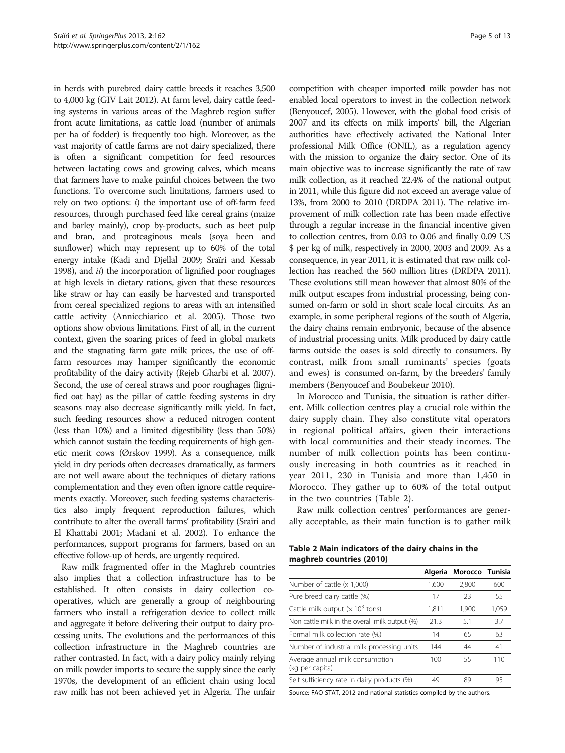in herds with purebred dairy cattle breeds it reaches 3,500 to 4,000 kg (GIV Lait [2012\)](#page-11-0). At farm level, dairy cattle feeding systems in various areas of the Maghreb region suffer from acute limitations, as cattle load (number of animals per ha of fodder) is frequently too high. Moreover, as the vast majority of cattle farms are not dairy specialized, there is often a significant competition for feed resources between lactating cows and growing calves, which means that farmers have to make painful choices between the two functions. To overcome such limitations, farmers used to rely on two options:  $i$ ) the important use of off-farm feed resources, through purchased feed like cereal grains (maize and barley mainly), crop by-products, such as beet pulp and bran, and proteaginous meals (soya been and sunflower) which may represent up to 60% of the total energy intake (Kadi and Djellal [2009;](#page-11-0) Sraïri and Kessab [1998\)](#page-12-0), and *ii*) the incorporation of lignified poor roughages at high levels in dietary rations, given that these resources like straw or hay can easily be harvested and transported from cereal specialized regions to areas with an intensified cattle activity (Annicchiarico et al. [2005\)](#page-11-0). Those two options show obvious limitations. First of all, in the current context, given the soaring prices of feed in global markets and the stagnating farm gate milk prices, the use of offfarm resources may hamper significantly the economic profitability of the dairy activity (Rejeb Gharbi et al. [2007](#page-11-0)). Second, the use of cereal straws and poor roughages (lignified oat hay) as the pillar of cattle feeding systems in dry seasons may also decrease significantly milk yield. In fact, such feeding resources show a reduced nitrogen content (less than 10%) and a limited digestibility (less than 50%) which cannot sustain the feeding requirements of high genetic merit cows (Ørskov [1999](#page-11-0)). As a consequence, milk yield in dry periods often decreases dramatically, as farmers are not well aware about the techniques of dietary rations complementation and they even often ignore cattle requirements exactly. Moreover, such feeding systems characteristics also imply frequent reproduction failures, which contribute to alter the overall farms' profitability (Sraïri and El Khattabi [2001;](#page-12-0) Madani et al. [2002\)](#page-11-0). To enhance the performances, support programs for farmers, based on an effective follow-up of herds, are urgently required.

Raw milk fragmented offer in the Maghreb countries also implies that a collection infrastructure has to be established. It often consists in dairy collection cooperatives, which are generally a group of neighbouring farmers who install a refrigeration device to collect milk and aggregate it before delivering their output to dairy processing units. The evolutions and the performances of this collection infrastructure in the Maghreb countries are rather contrasted. In fact, with a dairy policy mainly relying on milk powder imports to secure the supply since the early 1970s, the development of an efficient chain using local raw milk has not been achieved yet in Algeria. The unfair

competition with cheaper imported milk powder has not enabled local operators to invest in the collection network (Benyoucef, [2005\)](#page-11-0). However, with the global food crisis of 2007 and its effects on milk imports' bill, the Algerian authorities have effectively activated the National Inter professional Milk Office (ONIL), as a regulation agency with the mission to organize the dairy sector. One of its main objective was to increase significantly the rate of raw milk collection, as it reached 22.4% of the national output in 2011, while this figure did not exceed an average value of 13%, from 2000 to 2010 (DRDPA [2011](#page-11-0)). The relative improvement of milk collection rate has been made effective through a regular increase in the financial incentive given to collection centres, from 0.03 to 0.06 and finally 0.09 US \$ per kg of milk, respectively in 2000, 2003 and 2009. As a consequence, in year 2011, it is estimated that raw milk collection has reached the 560 million litres (DRDPA [2011](#page-11-0)). These evolutions still mean however that almost 80% of the milk output escapes from industrial processing, being consumed on-farm or sold in short scale local circuits. As an example, in some peripheral regions of the south of Algeria, the dairy chains remain embryonic, because of the absence of industrial processing units. Milk produced by dairy cattle farms outside the oases is sold directly to consumers. By contrast, milk from small ruminants' species (goats and ewes) is consumed on-farm, by the breeders' family members (Benyoucef and Boubekeur [2010](#page-11-0)).

In Morocco and Tunisia, the situation is rather different. Milk collection centres play a crucial role within the dairy supply chain. They also constitute vital operators in regional political affairs, given their interactions with local communities and their steady incomes. The number of milk collection points has been continuously increasing in both countries as it reached in year 2011, 230 in Tunisia and more than 1,450 in Morocco. They gather up to 60% of the total output in the two countries (Table 2).

Raw milk collection centres' performances are generally acceptable, as their main function is to gather milk

Table 2 Main indicators of the dairy chains in the maghreb countries (2010)

|                                                     | Algeria | Morocco Tunisia |       |
|-----------------------------------------------------|---------|-----------------|-------|
| Number of cattle (x 1,000)                          | 1.600   | 2.800           | 600   |
| Pure breed dairy cattle (%)                         | 17      | 23              | 55    |
| Cattle milk output ( $\times$ 10 <sup>3</sup> tons) | 1.811   | 1.900           | 1.059 |
| Non cattle milk in the overall milk output (%)      | 213     | 5.1             | 37    |
| Formal milk collection rate (%)                     | 14      | 65              | 63    |
| Number of industrial milk processing units          | 144     | 44              | 41    |
| Average annual milk consumption<br>(kg per capita)  | 100     | 55              | 110   |
| Self sufficiency rate in dairy products (%)         | 49      | 89              | 95    |

Source: FAO STAT, [2012](#page-11-0) and national statistics compiled by the authors.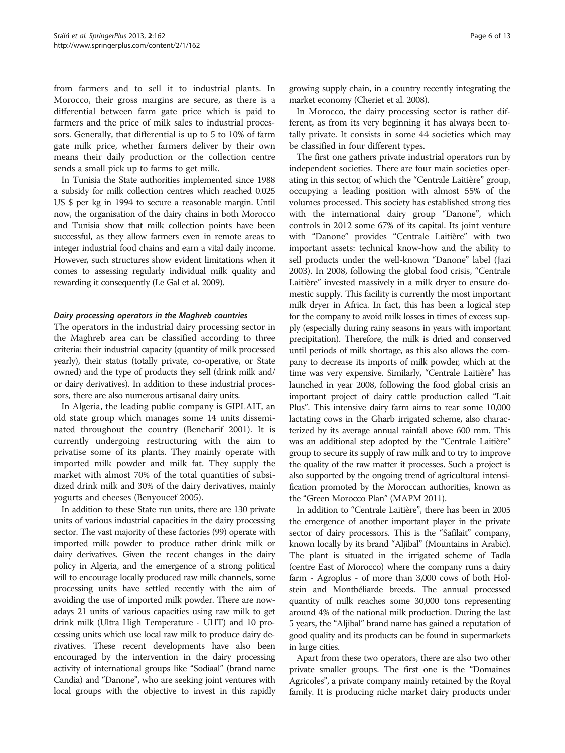from farmers and to sell it to industrial plants. In Morocco, their gross margins are secure, as there is a differential between farm gate price which is paid to farmers and the price of milk sales to industrial processors. Generally, that differential is up to 5 to 10% of farm gate milk price, whether farmers deliver by their own means their daily production or the collection centre sends a small pick up to farms to get milk.

In Tunisia the State authorities implemented since 1988 a subsidy for milk collection centres which reached 0.025 US \$ per kg in 1994 to secure a reasonable margin. Until now, the organisation of the dairy chains in both Morocco and Tunisia show that milk collection points have been successful, as they allow farmers even in remote areas to integer industrial food chains and earn a vital daily income. However, such structures show evident limitations when it comes to assessing regularly individual milk quality and rewarding it consequently (Le Gal et al. [2009\)](#page-11-0).

#### Dairy processing operators in the Maghreb countries

The operators in the industrial dairy processing sector in the Maghreb area can be classified according to three criteria: their industrial capacity (quantity of milk processed yearly), their status (totally private, co-operative, or State owned) and the type of products they sell (drink milk and/ or dairy derivatives). In addition to these industrial processors, there are also numerous artisanal dairy units.

In Algeria, the leading public company is GIPLAIT, an old state group which manages some 14 units disseminated throughout the country (Bencharif [2001\)](#page-11-0). It is currently undergoing restructuring with the aim to privatise some of its plants. They mainly operate with imported milk powder and milk fat. They supply the market with almost 70% of the total quantities of subsidized drink milk and 30% of the dairy derivatives, mainly yogurts and cheeses (Benyoucef [2005](#page-11-0)).

In addition to these State run units, there are 130 private units of various industrial capacities in the dairy processing sector. The vast majority of these factories (99) operate with imported milk powder to produce rather drink milk or dairy derivatives. Given the recent changes in the dairy policy in Algeria, and the emergence of a strong political will to encourage locally produced raw milk channels, some processing units have settled recently with the aim of avoiding the use of imported milk powder. There are nowadays 21 units of various capacities using raw milk to get drink milk (Ultra High Temperature - UHT) and 10 processing units which use local raw milk to produce dairy derivatives. These recent developments have also been encouraged by the intervention in the dairy processing activity of international groups like "Sodiaal" (brand name Candia) and "Danone", who are seeking joint ventures with local groups with the objective to invest in this rapidly growing supply chain, in a country recently integrating the market economy (Cheriet et al. [2008\)](#page-11-0).

In Morocco, the dairy processing sector is rather different, as from its very beginning it has always been totally private. It consists in some 44 societies which may be classified in four different types.

The first one gathers private industrial operators run by independent societies. There are four main societies operating in this sector, of which the "Centrale Laitière" group, occupying a leading position with almost 55% of the volumes processed. This society has established strong ties with the international dairy group "Danone", which controls in 2012 some 67% of its capital. Its joint venture with "Danone" provides "Centrale Laitière" with two important assets: technical know-how and the ability to sell products under the well-known "Danone" label (Jazi [2003\)](#page-11-0). In 2008, following the global food crisis, "Centrale Laitière" invested massively in a milk dryer to ensure domestic supply. This facility is currently the most important milk dryer in Africa. In fact, this has been a logical step for the company to avoid milk losses in times of excess supply (especially during rainy seasons in years with important precipitation). Therefore, the milk is dried and conserved until periods of milk shortage, as this also allows the company to decrease its imports of milk powder, which at the time was very expensive. Similarly, "Centrale Laitière" has launched in year 2008, following the food global crisis an important project of dairy cattle production called "Lait Plus". This intensive dairy farm aims to rear some 10,000 lactating cows in the Gharb irrigated scheme, also characterized by its average annual rainfall above 600 mm. This was an additional step adopted by the "Centrale Laitière" group to secure its supply of raw milk and to try to improve the quality of the raw matter it processes. Such a project is also supported by the ongoing trend of agricultural intensification promoted by the Moroccan authorities, known as the "Green Morocco Plan" (MAPM [2011\)](#page-11-0).

In addition to "Centrale Laitière", there has been in 2005 the emergence of another important player in the private sector of dairy processors. This is the "Safilait" company, known locally by its brand "Aljibal" (Mountains in Arabic). The plant is situated in the irrigated scheme of Tadla (centre East of Morocco) where the company runs a dairy farm - Agroplus - of more than 3,000 cows of both Holstein and Montbéliarde breeds. The annual processed quantity of milk reaches some 30,000 tons representing around 4% of the national milk production. During the last 5 years, the "Aljibal" brand name has gained a reputation of good quality and its products can be found in supermarkets in large cities.

Apart from these two operators, there are also two other private smaller groups. The first one is the "Domaines Agricoles", a private company mainly retained by the Royal family. It is producing niche market dairy products under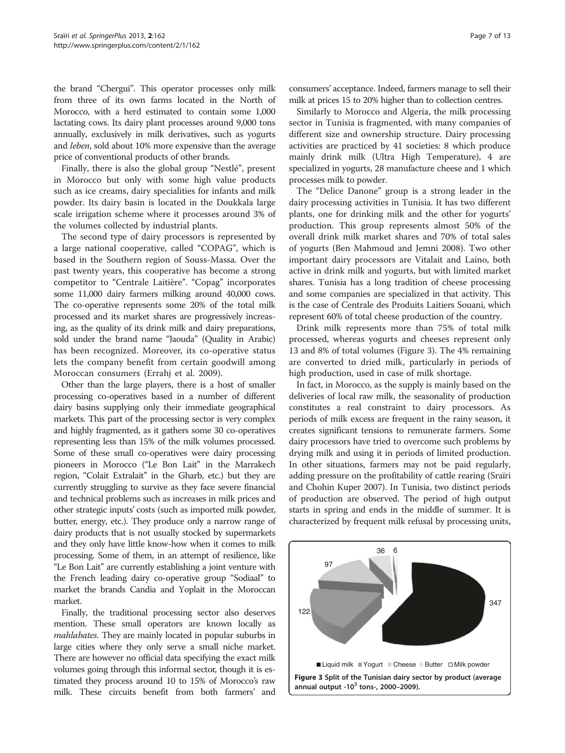the brand "Chergui". This operator processes only milk from three of its own farms located in the North of Morocco, with a herd estimated to contain some 1,000 lactating cows. Its dairy plant processes around 9,000 tons annually, exclusively in milk derivatives, such as yogurts and leben, sold about 10% more expensive than the average price of conventional products of other brands.

Finally, there is also the global group "Nestlé", present in Morocco but only with some high value products such as ice creams, dairy specialities for infants and milk powder. Its dairy basin is located in the Doukkala large scale irrigation scheme where it processes around 3% of the volumes collected by industrial plants.

The second type of dairy processors is represented by a large national cooperative, called "COPAG", which is based in the Southern region of Souss-Massa. Over the past twenty years, this cooperative has become a strong competitor to "Centrale Laitière". "Copag" incorporates some 11,000 dairy farmers milking around 40,000 cows. The co-operative represents some 20% of the total milk processed and its market shares are progressively increasing, as the quality of its drink milk and dairy preparations, sold under the brand name "Jaouda" (Quality in Arabic) has been recognized. Moreover, its co-operative status lets the company benefit from certain goodwill among Moroccan consumers (Errahj et al. [2009](#page-11-0)).

Other than the large players, there is a host of smaller processing co-operatives based in a number of different dairy basins supplying only their immediate geographical markets. This part of the processing sector is very complex and highly fragmented, as it gathers some 30 co-operatives representing less than 15% of the milk volumes processed. Some of these small co-operatives were dairy processing pioneers in Morocco ("Le Bon Lait" in the Marrakech region, "Colait Extralait" in the Gharb, etc.) but they are currently struggling to survive as they face severe financial and technical problems such as increases in milk prices and other strategic inputs' costs (such as imported milk powder, butter, energy, etc.). They produce only a narrow range of dairy products that is not usually stocked by supermarkets and they only have little know-how when it comes to milk processing. Some of them, in an attempt of resilience, like "Le Bon Lait" are currently establishing a joint venture with the French leading dairy co-operative group "Sodiaal" to market the brands Candia and Yoplait in the Moroccan market.

Finally, the traditional processing sector also deserves mention. These small operators are known locally as mahlabates. They are mainly located in popular suburbs in large cities where they only serve a small niche market. There are however no official data specifying the exact milk volumes going through this informal sector, though it is estimated they process around 10 to 15% of Morocco's raw milk. These circuits benefit from both farmers' and consumers' acceptance. Indeed, farmers manage to sell their milk at prices 15 to 20% higher than to collection centres.

Similarly to Morocco and Algeria, the milk processing sector in Tunisia is fragmented, with many companies of different size and ownership structure. Dairy processing activities are practiced by 41 societies: 8 which produce mainly drink milk (Ultra High Temperature), 4 are specialized in yogurts, 28 manufacture cheese and 1 which processes milk to powder.

The "Delice Danone" group is a strong leader in the dairy processing activities in Tunisia. It has two different plants, one for drinking milk and the other for yogurts' production. This group represents almost 50% of the overall drink milk market shares and 70% of total sales of yogurts (Ben Mahmoud and Jemni [2008](#page-11-0)). Two other important dairy processors are Vitalait and Laino, both active in drink milk and yogurts, but with limited market shares. Tunisia has a long tradition of cheese processing and some companies are specialized in that activity. This is the case of Centrale des Produits Laitiers Souani, which represent 60% of total cheese production of the country.

Drink milk represents more than 75% of total milk processed, whereas yogurts and cheeses represent only 13 and 8% of total volumes (Figure 3). The 4% remaining are converted to dried milk, particularly in periods of high production, used in case of milk shortage.

In fact, in Morocco, as the supply is mainly based on the deliveries of local raw milk, the seasonality of production constitutes a real constraint to dairy processors. As periods of milk excess are frequent in the rainy season, it creates significant tensions to remunerate farmers. Some dairy processors have tried to overcome such problems by drying milk and using it in periods of limited production. In other situations, farmers may not be paid regularly, adding pressure on the profitability of cattle rearing (Sraïri and Chohin Kuper [2007\)](#page-12-0). In Tunisia, two distinct periods of production are observed. The period of high output starts in spring and ends in the middle of summer. It is characterized by frequent milk refusal by processing units,

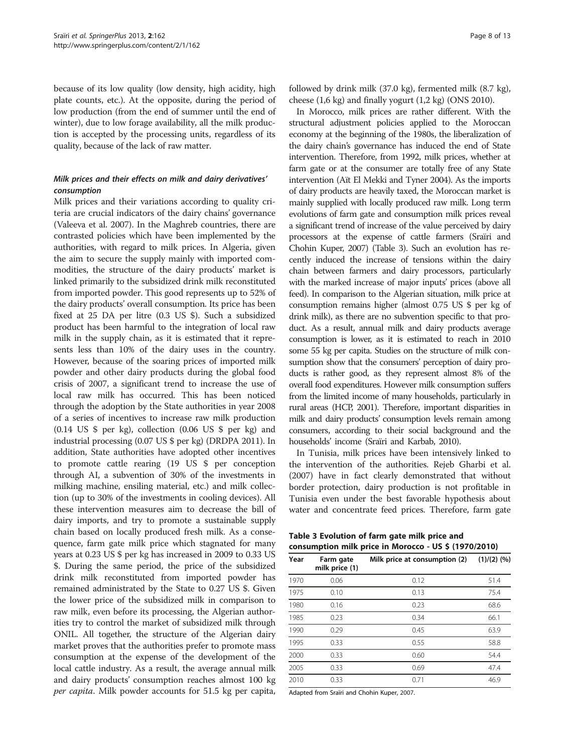because of its low quality (low density, high acidity, high plate counts, etc.). At the opposite, during the period of low production (from the end of summer until the end of winter), due to low forage availability, all the milk production is accepted by the processing units, regardless of its quality, because of the lack of raw matter.

# Milk prices and their effects on milk and dairy derivatives' consumption

Milk prices and their variations according to quality criteria are crucial indicators of the dairy chains' governance (Valeeva et al. [2007\)](#page-12-0). In the Maghreb countries, there are contrasted policies which have been implemented by the authorities, with regard to milk prices. In Algeria, given the aim to secure the supply mainly with imported commodities, the structure of the dairy products' market is linked primarily to the subsidized drink milk reconstituted from imported powder. This good represents up to 52% of the dairy products' overall consumption. Its price has been fixed at 25 DA per litre (0.3 US \$). Such a subsidized product has been harmful to the integration of local raw milk in the supply chain, as it is estimated that it represents less than 10% of the dairy uses in the country. However, because of the soaring prices of imported milk powder and other dairy products during the global food crisis of 2007, a significant trend to increase the use of local raw milk has occurred. This has been noticed through the adoption by the State authorities in year 2008 of a series of incentives to increase raw milk production (0.14 US \$ per kg), collection (0.06 US \$ per kg) and industrial processing (0.07 US \$ per kg) (DRDPA [2011](#page-11-0)). In addition, State authorities have adopted other incentives to promote cattle rearing (19 US \$ per conception through AI, a subvention of 30% of the investments in milking machine, ensiling material, etc.) and milk collection (up to 30% of the investments in cooling devices). All these intervention measures aim to decrease the bill of dairy imports, and try to promote a sustainable supply chain based on locally produced fresh milk. As a consequence, farm gate milk price which stagnated for many years at 0.23 US \$ per kg has increased in 2009 to 0.33 US \$. During the same period, the price of the subsidized drink milk reconstituted from imported powder has remained administrated by the State to 0.27 US \$. Given the lower price of the subsidized milk in comparison to raw milk, even before its processing, the Algerian authorities try to control the market of subsidized milk through ONIL. All together, the structure of the Algerian dairy market proves that the authorities prefer to promote mass consumption at the expense of the development of the local cattle industry. As a result, the average annual milk and dairy products' consumption reaches almost 100 kg per capita. Milk powder accounts for 51.5 kg per capita, followed by drink milk (37.0 kg), fermented milk (8.7 kg), cheese (1,6 kg) and finally yogurt (1,2 kg) (ONS [2010](#page-11-0)).

In Morocco, milk prices are rather different. With the structural adjustment policies applied to the Moroccan economy at the beginning of the 1980s, the liberalization of the dairy chain's governance has induced the end of State intervention. Therefore, from 1992, milk prices, whether at farm gate or at the consumer are totally free of any State intervention (Aït El Mekki and Tyner [2004](#page-11-0)). As the imports of dairy products are heavily taxed, the Moroccan market is mainly supplied with locally produced raw milk. Long term evolutions of farm gate and consumption milk prices reveal a significant trend of increase of the value perceived by dairy processors at the expense of cattle farmers (Sraïri and Chohin Kuper, [2007\)](#page-12-0) (Table 3). Such an evolution has recently induced the increase of tensions within the dairy chain between farmers and dairy processors, particularly with the marked increase of major inputs' prices (above all feed). In comparison to the Algerian situation, milk price at consumption remains higher (almost 0.75 US \$ per kg of drink milk), as there are no subvention specific to that product. As a result, annual milk and dairy products average consumption is lower, as it is estimated to reach in 2010 some 55 kg per capita. Studies on the structure of milk consumption show that the consumers' perception of dairy products is rather good, as they represent almost 8% of the overall food expenditures. However milk consumption suffers from the limited income of many households, particularly in rural areas (HCP, [2001\)](#page-11-0). Therefore, important disparities in milk and dairy products' consumption levels remain among consumers, according to their social background and the households' income (Sraïri and Karbab, [2010](#page-12-0)).

In Tunisia, milk prices have been intensively linked to the intervention of the authorities. Rejeb Gharbi et al. ([2007](#page-11-0)) have in fact clearly demonstrated that without border protection, dairy production is not profitable in Tunisia even under the best favorable hypothesis about water and concentrate feed prices. Therefore, farm gate

Table 3 Evolution of farm gate milk price and consumption milk price in Morocco - US \$ (1970/2010)

| Year | Farm gate<br>milk price (1) | Milk price at consumption (2) | $(1)/(2)$ (%) |
|------|-----------------------------|-------------------------------|---------------|
| 1970 | 0.06                        | 0.12                          | 51.4          |
| 1975 | 0.10                        | 0.13                          | 75.4          |
| 1980 | 0.16                        | 0.23                          | 68.6          |
| 1985 | 0.23                        | 0.34                          | 66.1          |
| 1990 | 0.29                        | 0.45                          | 63.9          |
| 1995 | 0.33                        | 0.55                          | 58.8          |
| 2000 | 0.33                        | 0.60                          | 54.4          |
| 2005 | 0.33                        | 0.69                          | 47.4          |
| 2010 | 0.33                        | 0.71                          | 46.9          |

Adapted from Sraïri and Chohin Kuper, [2007](#page-12-0).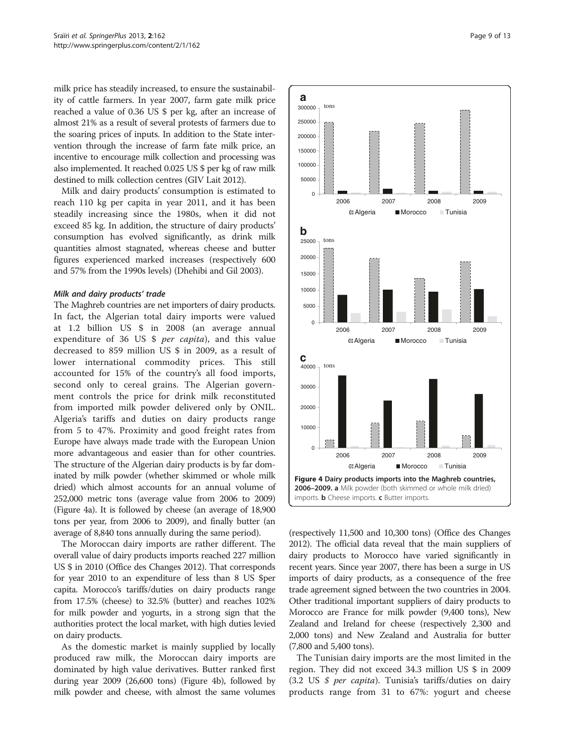<span id="page-8-0"></span>milk price has steadily increased, to ensure the sustainability of cattle farmers. In year 2007, farm gate milk price reached a value of 0.36 US \$ per kg, after an increase of almost 21% as a result of several protests of farmers due to the soaring prices of inputs. In addition to the State intervention through the increase of farm fate milk price, an incentive to encourage milk collection and processing was also implemented. It reached 0.025 US \$ per kg of raw milk destined to milk collection centres (GIV Lait [2012](#page-11-0)).

Milk and dairy products' consumption is estimated to reach 110 kg per capita in year 2011, and it has been steadily increasing since the 1980s, when it did not exceed 85 kg. In addition, the structure of dairy products' consumption has evolved significantly, as drink milk quantities almost stagnated, whereas cheese and butter figures experienced marked increases (respectively 600 and 57% from the 1990s levels) (Dhehibi and Gil [2003\)](#page-11-0).

#### Milk and dairy products' trade

The Maghreb countries are net importers of dairy products. In fact, the Algerian total dairy imports were valued at 1.2 billion US \$ in 2008 (an average annual expenditure of 36 US \$ *per capita*), and this value decreased to 859 million US \$ in 2009, as a result of lower international commodity prices. This still accounted for 15% of the country's all food imports, second only to cereal grains. The Algerian government controls the price for drink milk reconstituted from imported milk powder delivered only by ONIL. Algeria's tariffs and duties on dairy products range from 5 to 47%. Proximity and good freight rates from Europe have always made trade with the European Union more advantageous and easier than for other countries. The structure of the Algerian dairy products is by far dominated by milk powder (whether skimmed or whole milk dried) which almost accounts for an annual volume of 252,000 metric tons (average value from 2006 to 2009) (Figure 4a). It is followed by cheese (an average of 18,900 tons per year, from 2006 to 2009), and finally butter (an average of 8,840 tons annually during the same period).

The Moroccan dairy imports are rather different. The overall value of dairy products imports reached 227 million US \$ in 2010 (Office des Changes [2012\)](#page-11-0). That corresponds for year 2010 to an expenditure of less than 8 US \$per capita. Morocco's tariffs/duties on dairy products range from 17.5% (cheese) to 32.5% (butter) and reaches 102% for milk powder and yogurts, in a strong sign that the authorities protect the local market, with high duties levied on dairy products.

As the domestic market is mainly supplied by locally produced raw milk, the Moroccan dairy imports are dominated by high value derivatives. Butter ranked first during year 2009 (26,600 tons) (Figure 4b), followed by milk powder and cheese, with almost the same volumes



(respectively 11,500 and 10,300 tons) (Office des Changes [2012\)](#page-11-0). The official data reveal that the main suppliers of dairy products to Morocco have varied significantly in recent years. Since year 2007, there has been a surge in US imports of dairy products, as a consequence of the free trade agreement signed between the two countries in 2004. Other traditional important suppliers of dairy products to Morocco are France for milk powder (9,400 tons), New Zealand and Ireland for cheese (respectively 2,300 and 2,000 tons) and New Zealand and Australia for butter (7,800 and 5,400 tons).

The Tunisian dairy imports are the most limited in the region. They did not exceed 34.3 million US \$ in 2009  $(3.2 \text{ US } $s \text{ per } capital)$ . Tunisia's tariffs/duties on dairy products range from 31 to 67%: yogurt and cheese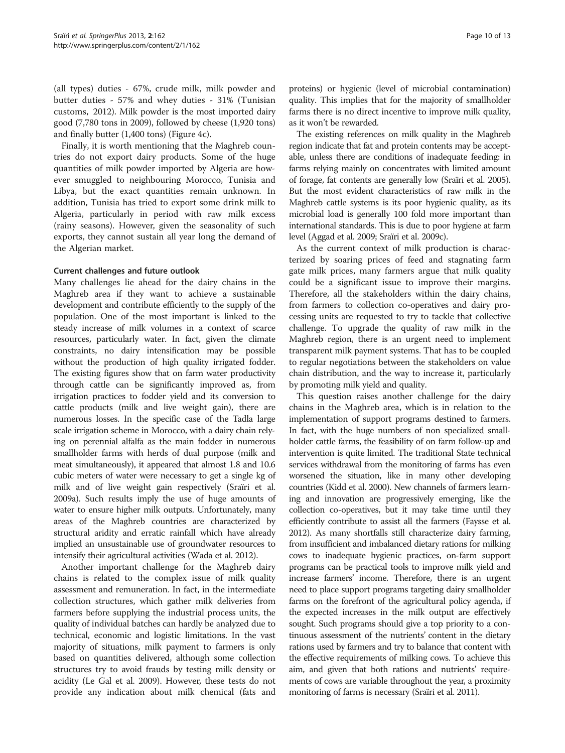(all types) duties - 67%, crude milk, milk powder and butter duties - 57% and whey duties - 31% (Tunisian customs, [2012](#page-12-0)). Milk powder is the most imported dairy good (7,780 tons in 2009), followed by cheese (1,920 tons) and finally butter (1,400 tons) (Figure [4c](#page-8-0)).

Finally, it is worth mentioning that the Maghreb countries do not export dairy products. Some of the huge quantities of milk powder imported by Algeria are however smuggled to neighbouring Morocco, Tunisia and Libya, but the exact quantities remain unknown. In addition, Tunisia has tried to export some drink milk to Algeria, particularly in period with raw milk excess (rainy seasons). However, given the seasonality of such exports, they cannot sustain all year long the demand of the Algerian market.

#### Current challenges and future outlook

Many challenges lie ahead for the dairy chains in the Maghreb area if they want to achieve a sustainable development and contribute efficiently to the supply of the population. One of the most important is linked to the steady increase of milk volumes in a context of scarce resources, particularly water. In fact, given the climate constraints, no dairy intensification may be possible without the production of high quality irrigated fodder. The existing figures show that on farm water productivity through cattle can be significantly improved as, from irrigation practices to fodder yield and its conversion to cattle products (milk and live weight gain), there are numerous losses. In the specific case of the Tadla large scale irrigation scheme in Morocco, with a dairy chain relying on perennial alfalfa as the main fodder in numerous smallholder farms with herds of dual purpose (milk and meat simultaneously), it appeared that almost 1.8 and 10.6 cubic meters of water were necessary to get a single kg of milk and of live weight gain respectively (Sraïri et al. [2009a\)](#page-12-0). Such results imply the use of huge amounts of water to ensure higher milk outputs. Unfortunately, many areas of the Maghreb countries are characterized by structural aridity and erratic rainfall which have already implied an unsustainable use of groundwater resources to intensify their agricultural activities (Wada et al. [2012](#page-12-0)).

Another important challenge for the Maghreb dairy chains is related to the complex issue of milk quality assessment and remuneration. In fact, in the intermediate collection structures, which gather milk deliveries from farmers before supplying the industrial process units, the quality of individual batches can hardly be analyzed due to technical, economic and logistic limitations. In the vast majority of situations, milk payment to farmers is only based on quantities delivered, although some collection structures try to avoid frauds by testing milk density or acidity (Le Gal et al. [2009](#page-11-0)). However, these tests do not provide any indication about milk chemical (fats and

proteins) or hygienic (level of microbial contamination) quality. This implies that for the majority of smallholder farms there is no direct incentive to improve milk quality, as it won't be rewarded.

The existing references on milk quality in the Maghreb region indicate that fat and protein contents may be acceptable, unless there are conditions of inadequate feeding: in farms relying mainly on concentrates with limited amount of forage, fat contents are generally low (Sraïri et al. [2005](#page-12-0)). But the most evident characteristics of raw milk in the Maghreb cattle systems is its poor hygienic quality, as its microbial load is generally 100 fold more important than international standards. This is due to poor hygiene at farm level (Aggad et al. [2009](#page-11-0); Sraïri et al. [2009c\)](#page-12-0).

As the current context of milk production is characterized by soaring prices of feed and stagnating farm gate milk prices, many farmers argue that milk quality could be a significant issue to improve their margins. Therefore, all the stakeholders within the dairy chains, from farmers to collection co-operatives and dairy processing units are requested to try to tackle that collective challenge. To upgrade the quality of raw milk in the Maghreb region, there is an urgent need to implement transparent milk payment systems. That has to be coupled to regular negotiations between the stakeholders on value chain distribution, and the way to increase it, particularly by promoting milk yield and quality.

This question raises another challenge for the dairy chains in the Maghreb area, which is in relation to the implementation of support programs destined to farmers. In fact, with the huge numbers of non specialized smallholder cattle farms, the feasibility of on farm follow-up and intervention is quite limited. The traditional State technical services withdrawal from the monitoring of farms has even worsened the situation, like in many other developing countries (Kidd et al. [2000\)](#page-11-0). New channels of farmers learning and innovation are progressively emerging, like the collection co-operatives, but it may take time until they efficiently contribute to assist all the farmers (Faysse et al. [2012\)](#page-11-0). As many shortfalls still characterize dairy farming, from insufficient and imbalanced dietary rations for milking cows to inadequate hygienic practices, on-farm support programs can be practical tools to improve milk yield and increase farmers' income. Therefore, there is an urgent need to place support programs targeting dairy smallholder farms on the forefront of the agricultural policy agenda, if the expected increases in the milk output are effectively sought. Such programs should give a top priority to a continuous assessment of the nutrients' content in the dietary rations used by farmers and try to balance that content with the effective requirements of milking cows. To achieve this aim, and given that both rations and nutrients' requirements of cows are variable throughout the year, a proximity monitoring of farms is necessary (Sraïri et al. [2011\)](#page-12-0).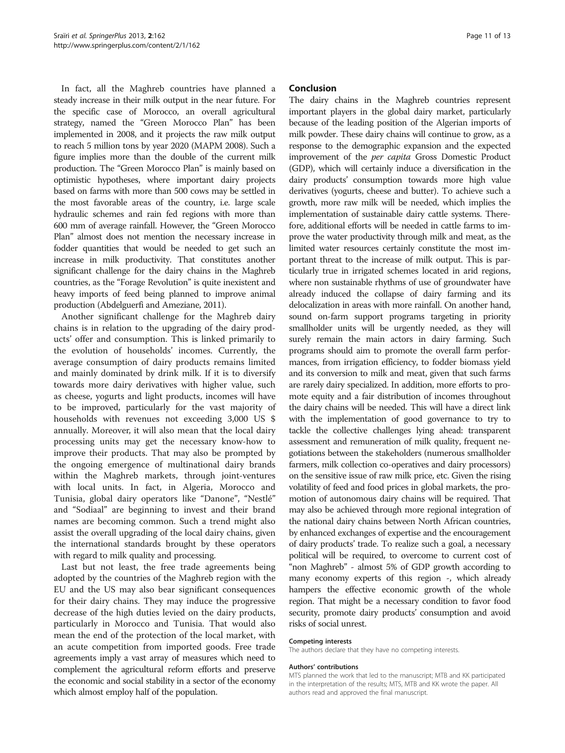In fact, all the Maghreb countries have planned a steady increase in their milk output in the near future. For the specific case of Morocco, an overall agricultural strategy, named the "Green Morocco Plan" has been implemented in 2008, and it projects the raw milk output to reach 5 million tons by year 2020 (MAPM [2008](#page-11-0)). Such a figure implies more than the double of the current milk production. The "Green Morocco Plan" is mainly based on optimistic hypotheses, where important dairy projects based on farms with more than 500 cows may be settled in the most favorable areas of the country, i.e. large scale hydraulic schemes and rain fed regions with more than 600 mm of average rainfall. However, the "Green Morocco Plan" almost does not mention the necessary increase in fodder quantities that would be needed to get such an increase in milk productivity. That constitutes another significant challenge for the dairy chains in the Maghreb countries, as the "Forage Revolution" is quite inexistent and heavy imports of feed being planned to improve animal production (Abdelguerfi and Ameziane, [2011\)](#page-11-0).

Another significant challenge for the Maghreb dairy chains is in relation to the upgrading of the dairy products' offer and consumption. This is linked primarily to the evolution of households' incomes. Currently, the average consumption of dairy products remains limited and mainly dominated by drink milk. If it is to diversify towards more dairy derivatives with higher value, such as cheese, yogurts and light products, incomes will have to be improved, particularly for the vast majority of households with revenues not exceeding 3,000 US \$ annually. Moreover, it will also mean that the local dairy processing units may get the necessary know-how to improve their products. That may also be prompted by the ongoing emergence of multinational dairy brands within the Maghreb markets, through joint-ventures with local units. In fact, in Algeria, Morocco and Tunisia, global dairy operators like "Danone", "Nestlé" and "Sodiaal" are beginning to invest and their brand names are becoming common. Such a trend might also assist the overall upgrading of the local dairy chains, given the international standards brought by these operators with regard to milk quality and processing.

Last but not least, the free trade agreements being adopted by the countries of the Maghreb region with the EU and the US may also bear significant consequences for their dairy chains. They may induce the progressive decrease of the high duties levied on the dairy products, particularly in Morocco and Tunisia. That would also mean the end of the protection of the local market, with an acute competition from imported goods. Free trade agreements imply a vast array of measures which need to complement the agricultural reform efforts and preserve the economic and social stability in a sector of the economy which almost employ half of the population.

## Conclusion

The dairy chains in the Maghreb countries represent important players in the global dairy market, particularly because of the leading position of the Algerian imports of milk powder. These dairy chains will continue to grow, as a response to the demographic expansion and the expected improvement of the per capita Gross Domestic Product (GDP), which will certainly induce a diversification in the dairy products' consumption towards more high value derivatives (yogurts, cheese and butter). To achieve such a growth, more raw milk will be needed, which implies the implementation of sustainable dairy cattle systems. Therefore, additional efforts will be needed in cattle farms to improve the water productivity through milk and meat, as the limited water resources certainly constitute the most important threat to the increase of milk output. This is particularly true in irrigated schemes located in arid regions, where non sustainable rhythms of use of groundwater have already induced the collapse of dairy farming and its delocalization in areas with more rainfall. On another hand, sound on-farm support programs targeting in priority smallholder units will be urgently needed, as they will surely remain the main actors in dairy farming. Such programs should aim to promote the overall farm performances, from irrigation efficiency, to fodder biomass yield and its conversion to milk and meat, given that such farms are rarely dairy specialized. In addition, more efforts to promote equity and a fair distribution of incomes throughout the dairy chains will be needed. This will have a direct link with the implementation of good governance to try to tackle the collective challenges lying ahead: transparent assessment and remuneration of milk quality, frequent negotiations between the stakeholders (numerous smallholder farmers, milk collection co-operatives and dairy processors) on the sensitive issue of raw milk price, etc. Given the rising volatility of feed and food prices in global markets, the promotion of autonomous dairy chains will be required. That may also be achieved through more regional integration of the national dairy chains between North African countries, by enhanced exchanges of expertise and the encouragement of dairy products' trade. To realize such a goal, a necessary political will be required, to overcome to current cost of "non Maghreb" - almost 5% of GDP growth according to many economy experts of this region -, which already hampers the effective economic growth of the whole region. That might be a necessary condition to favor food security, promote dairy products' consumption and avoid risks of social unrest.

#### Competing interests

The authors declare that they have no competing interests.

#### Authors' contributions

MTS planned the work that led to the manuscript; MTB and KK participated in the interpretation of the results; MTS, MTB and KK wrote the paper. All authors read and approved the final manuscript.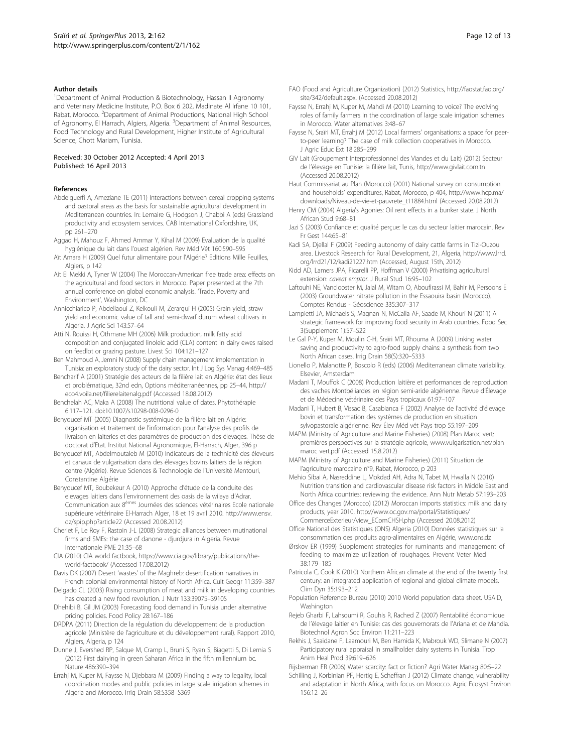#### <span id="page-11-0"></span>Author details

<sup>1</sup>Department of Animal Production & Biotechnology, Hassan II Agronomy and Veterinary Medicine Institute, P.O. Box 6 202, Madinate Al Irfane 10 101, Rabat, Morocco. <sup>2</sup>Department of Animal Productions, National High School of Agronomy, El Harrach, Algiers, Algeria. <sup>3</sup>Department of Animal Resources, Food Technology and Rural Development, Higher Institute of Agricultural Science, Chott Mariam, Tunisia.

#### Received: 30 October 2012 Accepted: 4 April 2013 Published: 16 April 2013

#### References

- Abdelguerfi A, Ameziane TE (2011) Interactions between cereal cropping systems and pastoral areas as the basis for sustainable agricultural development in Mediterranean countries. In: Lemaire G, Hodgson J, Chabbi A (eds) Grassland productivity and ecosystem services. CAB International Oxfordshire, UK, pp 261–270
- Aggad H, Mahouz F, Ahmed Ammar Y, Kihal M (2009) Evaluation de la qualité hygiénique du lait dans l'ouest algérien. Rev Méd Vét 160:590–595
- Aït Amara H (2009) Quel futur alimentaire pour l'Algérie? Editions Mille Feuilles, Algiers, p 142
- Ait El Mekki A, Tyner W (2004) The Moroccan-American free trade area: effects on the agricultural and food sectors in Morocco. Paper presented at the 7th annual conference on global economic analysis. Trade, Poverty and Environment', Washington, DC
- Annicchiarico P, Abdellaoui Z, Kelkouli M, Zerargui H (2005) Grain yield, straw yield and economic value of tall and semi-dwarf durum wheat cultivars in Algeria. J Agric Sci 143:57–64
- Atti N, Rouissi H, Othmane MH (2006) Milk production, milk fatty acid composition and conjugated linoleic acid (CLA) content in dairy ewes raised on feedlot or grazing pasture. Livest Sci 104:121–127
- Ben Mahmoud A, Jemni N (2008) Supply chain management implementation in Tunisia: an exploratory study of the dairy sector. Int J Log Sys Manag 4:469–485
- Bencharif A (2001) Stratégie des acteurs de la filière lait en Algérie: état des lieux et problématique, 32nd edn, Options méditerranéennes, pp 25–44, [http://](http://eco4.voila.net/filierelaitenalg.pdf) [eco4.voila.net/filierelaitenalg.pdf](http://eco4.voila.net/filierelaitenalg.pdf) (Accessed 18.08.2012)
- Benchelah AC, Maka A (2008) The nutritional value of dates. Phytothérapie 6:117–121. doi:[10.1007/s10298-008-0296-0](http://dx.doi.org/10.1007/s10298-008-0296-0)
- Benyoucef MT (2005) Diagnostic systémique de la filière lait en Algérie: organisation et traitement de l'information pour l'analyse des profils de livraison en laiteries et des paramètres de production des élevages. Thèse de doctorat d'Etat. Institut National Agronomique, El-Harrach, Alger, 396 p
- Benyoucef MT, Abdelmoutaleb M (2010) Indicateurs de la technicité des éleveurs et canaux de vulgarisation dans des élevages bovins laitiers de la région centre (Algérie). Revue Sciences & Technologie de l'Université Mentouri, Constantine Algérie
- Benyoucef MT, Boubekeur A (2010) Approche d'étude de la conduite des elevages laitiers dans l'environnement des oasis de la wilaya d'Adrar. Communication aux 8èmes Journées des sciences vétérinaires Ecole nationale supérieure vétérinaire El-Harrach Alger, 18 et 19 avril 2010. [http://www.ensv.](http://www.ensv.dz/spip.php?article22) [dz/spip.php?article22](http://www.ensv.dz/spip.php?article22) (Accessed 20.08.2012)
- Cheriet F, Le Roy F, Rastoin J-L (2008) Strategic alliances between mutinational firms and SMEs: the case of danone - djurdjura in Algeria. Revue Internationale PME 21:35–68
- CIA (2010) CIA world factbook, [https://www.cia.gov/library/publications/the](https://www.cia.gov/library/publications/the-world-factbook/)[world-factbook/](https://www.cia.gov/library/publications/the-world-factbook/) (Accessed 17.08.2012)
- Davis DK (2007) Desert 'wastes' of the Maghreb: desertification narratives in French colonial environmental history of North Africa. Cult Geogr 11:359–387
- Delgado CL (2003) Rising consumption of meat and milk in developing countries has created a new food revolution. J Nutr 133:3907S–3910S
- Dhehibi B, Gil JM (2003) Forecasting food demand in Tunisia under alternative pricing policies. Food Policy 28:167–186
- DRDPA (2011) Direction de la régulation du développement de la production agricole (Ministère de l'agriculture et du développement rural). Rapport 2010, Algiers, Algeria, p 124
- Dunne J, Evershed RP, Salque M, Cramp L, Bruni S, Ryan S, Biagetti S, Di Lernia S (2012) First dairying in green Saharan Africa in the fifth millennium bc. Nature 486:390–394
- Errahj M, Kuper M, Faysse N, Djebbara M (2009) Finding a way to legality, local coordination modes and public policies in large scale irrigation schemes in Algeria and Morocco. Irrig Drain 58:S358–S369
- FAO (Food and Agriculture Organization) (2012) Statistics, [http://faostat.fao.org/](http://faostat.fao.org/site/342/default.aspx) [site/342/default.aspx](http://faostat.fao.org/site/342/default.aspx). (Accessed 20.08.2012)
- Faysse N, Errahj M, Kuper M, Mahdi M (2010) Learning to voice? The evolving roles of family farmers in the coordination of large scale irrigation schemes in Morocco. Water alternatives 3:48–67
- Faysse N, Sraïri MT, Errahj M (2012) Local farmers' organisations: a space for peerto-peer learning? The case of milk collection cooperatives in Morocco. J Agric Educ Ext 18:285–299
- GIV Lait (Groupement Interprofessionnel des Viandes et du Lait) (2012) Secteur de l'élevage en Tunisie: la filière lait, Tunis,<http://www.givlait.com.tn> (Accessed 20.08.2012)
- Haut Commissariat au Plan (Morocco) (2001) National survey on consumption and households' expenditures, Rabat, Morocco, p 404, [http://www.hcp.ma/](http://www.hcp.ma/downloads/Niveau-de-vie-et-pauvrete_t11884.html) [downloads/Niveau-de-vie-et-pauvrete\\_t11884.html](http://www.hcp.ma/downloads/Niveau-de-vie-et-pauvrete_t11884.html) (Accessed 20.08.2012)
- Henry CM (2004) Algeria's Agonies: Oil rent effects in a bunker state. J North African Stud 9:68–81
- Jazi S (2003) Confiance et qualité perçue: le cas du secteur laitier marocain. Rev Fr Gest 144:65–81
- Kadi SA, Djellal F (2009) Feeding autonomy of dairy cattle farms in Tizi-Ouzou area. Livestock Research for Rural Development, 21, Algeria, [http://www.lrrd.](http://www.lrrd.org/lrrd21/12/kadi21227.htm) [org/lrrd21/12/kadi21227.htm](http://www.lrrd.org/lrrd21/12/kadi21227.htm) (Accessed, August 15th, 2012)
- Kidd AD, Lamers JPA, Ficarelli PP, Hoffman V (2000) Privatising agricultural extension: caveat emptor. J Rural Stud 16:95–<sup>102</sup>
- Laftouhi NE, Vanclooster M, Jalal M, Witam O, Aboufirassi M, Bahir M, Persoons E (2003) Groundwater nitrate pollution in the Essaouira basin (Morocco). Comptes Rendus - Géoscience 335:307–317
- Lampietti JA, Michaels S, Magnan N, McCalla AF, Saade M, Khouri N (2011) A strategic framework for improving food security in Arab countries. Food Sec 3(Supplement 1):S7–S22
- Le Gal P-Y, Kuper M, Moulin C-H, Sraïri MT, Rhouma A (2009) Linking water saving and productivity to agro-food supply chains: a synthesis from two North African cases. Irrig Drain 58(S):320–S333
- Lionello P, Malanotte P, Boscolo R (eds) (2006) Mediterranean climate variability. Elsevier, Amsterdam
- Madani T, Mouffok C (2008) Production laitière et performances de reproduction des vaches Montbéliardes en région semi-aride algérienne. Revue d'Élevage et de Médecine vétérinaire des Pays tropicaux 61:97–107
- Madani T, Hubert B, Vissac B, Casabianca F (2002) Analyse de l'activité d'élevage bovin et transformation des systèmes de production en situation sylvopastorale algérienne. Rev Élev Méd vét Pays trop 55:197–209
- MAPM (Ministry of Agriculture and Marine Fisheries) (2008) Plan Maroc vert: premières perspectives sur la stratégie agricole, [www.vulgarisation.net/plan](http://www.vulgarisation.net/plan) maroc vert.pdf (Accessed 15.8.2012)
- MAPM (Ministry of Agriculture and Marine Fisheries) (2011) Situation de l'agriculture marocaine n°9, Rabat, Morocco, p 203
- Mehio Sibai A, Nasreddine L, Mokdad AH, Adra N, Tabet M, Hwalla N (2010) Nutrition transition and cardiovascular disease risk factors in Middle East and North Africa countries: reviewing the evidence. Ann Nutr Metab 57:193–203
- Office des Changes (Morocco) (2012) Moroccan imports statistics: milk and dairy products, year 2010, [http://www.oc.gov.ma/portal/Statistiques/](http://www.oc.gov.ma/portal/Statistiques/CommerceExterieur/view_EComCHSH.php) [CommerceExterieur/view\\_EComCHSH.php](http://www.oc.gov.ma/portal/Statistiques/CommerceExterieur/view_EComCHSH.php) (Accessed 20.08.2012)
- Office National des Statistiques (ONS) Algeria (2010) Données statistiques sur la consommation des produits agro-alimentaires en Algérie, [www.ons.dz](http://www.ons.dz/)
- Ørskov ER (1999) Supplement strategies for ruminants and management of feeding to maximize utilization of roughages. Prevent Veter Med 38:179–185
- Patricola C, Cook K (2010) Northern African climate at the end of the twenty first century: an integrated application of regional and global climate models. Clim Dyn 35:193–212
- Population Reference Bureau (2010) 2010 World population data sheet. USAID, Washington
- Rejeb Gharbi F, Lahsoumi R, Gouhis R, Rached Z (2007) Rentabilité économique de l'élevage laitier en Tunisie: cas des gouvernorats de l'Ariana et de Mahdia. Biotechnol Agron Soc Environ 11:211–223
- Rekhis J, Saaidane F, Laamouri M, Ben Hamida K, Mabrouk WD, Slimane N (2007) Participatory rural appraisal in smallholder dairy systems in Tunisia. Trop Anim Heal Prod 39:619–626

Rijsberman FR (2006) Water scarcity: fact or fiction? Agri Water Manag 80:5–22

Schilling J, Korbinian PF, Hertig E, Scheffran J (2012) Climate change, vulnerability and adaptation in North Africa, with focus on Morocco. Agric Ecosyst Environ 156:12–26